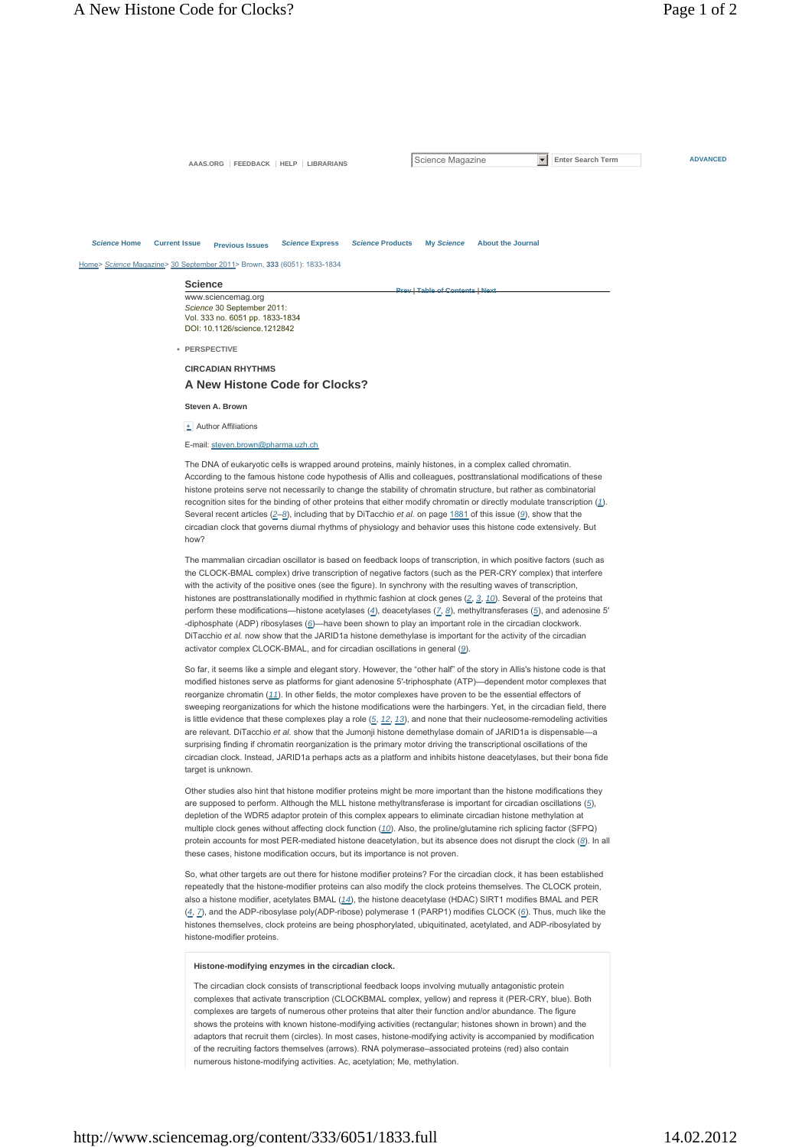AAAS.ORG FEEDBACK HELP LIBRARIANS SCIENCE Magazine **F** Enter Search Term **ADVANCED** 

**Prev | Table of Contents | Next**

# *Science* **Home Current Issue Previous Issues** *Science* **Express** *Science* **Products My** *Science* **About the Journal**

Home> *Science* Magazine> 30 September 2011> Brown, **333** (6051): 1833-1834

| <b>Science</b>                  |
|---------------------------------|
| www.sciencemag.org              |
| Science 30 September 2011:      |
| Vol. 333 no. 6051 pp. 1833-1834 |
| DOI: 10.1126/science.1212842    |
|                                 |
| PERSPECTIVE                     |

**CIRCADIAN RHYTHMS**

### **A New Histone Code for Clocks?**

**Steven A. Brown**

**+** Author Affiliations

#### E-mail: steven.brown@pharma.uzh.ch

The DNA of eukaryotic cells is wrapped around proteins, mainly histones, in a complex called chromatin. According to the famous histone code hypothesis of Allis and colleagues, posttranslational modifications of these histone proteins serve not necessarily to change the stability of chromatin structure, but rather as combinatorial recognition sites for the binding of other proteins that either modify chromatin or directly modulate transcription (*1*). Several recent articles (*2*–*8*), including that by DiTacchio *et al.* on page 1881 of this issue (*9*), show that the circadian clock that governs diurnal rhythms of physiology and behavior uses this histone code extensively. But how?

The mammalian circadian oscillator is based on feedback loops of transcription, in which positive factors (such as the CLOCK-BMAL complex) drive transcription of negative factors (such as the PER-CRY complex) that interfere with the activity of the positive ones (see the figure). In synchrony with the resulting waves of transcription, histones are posttranslationally modified in rhythmic fashion at clock genes (*2*, *3*, *10*). Several of the proteins that perform these modifications—histone acetylases (*4*), deacetylases (*7*, *8*), methyltransferases (*5*), and adenosine 5′ -diphosphate (ADP) ribosylases (*6*)—have been shown to play an important role in the circadian clockwork. DiTacchio *et al.* now show that the JARID1a histone demethylase is important for the activity of the circadian activator complex CLOCK-BMAL, and for circadian oscillations in general (*9*).

So far, it seems like a simple and elegant story. However, the "other half" of the story in Allis's histone code is that modified histones serve as platforms for giant adenosine 5′-triphosphate (ATP)—dependent motor complexes that reorganize chromatin (*11*). In other fields, the motor complexes have proven to be the essential effectors of sweeping reorganizations for which the histone modifications were the harbingers. Yet, in the circadian field, there is little evidence that these complexes play a role (*5*, *12*, *13*), and none that their nucleosome-remodeling activities are relevant. DiTacchio *et al.* show that the Jumonji histone demethylase domain of JARID1a is dispensable—a surprising finding if chromatin reorganization is the primary motor driving the transcriptional oscillations of the circadian clock. Instead, JARID1a perhaps acts as a platform and inhibits histone deacetylases, but their bona fide target is unknown.

Other studies also hint that histone modifier proteins might be more important than the histone modifications they are supposed to perform. Although the MLL histone methyltransferase is important for circadian oscillations (*5*), depletion of the WDR5 adaptor protein of this complex appears to eliminate circadian histone methylation at multiple clock genes without affecting clock function (*10*). Also, the proline/glutamine rich splicing factor (SFPQ) protein accounts for most PER-mediated histone deacetylation, but its absence does not disrupt the clock (*8*). In all these cases, histone modification occurs, but its importance is not proven.

So, what other targets are out there for histone modifier proteins? For the circadian clock, it has been established repeatedly that the histone-modifier proteins can also modify the clock proteins themselves. The CLOCK protein, also a histone modifier, acetylates BMAL (*14*), the histone deacetylase (HDAC) SIRT1 modifies BMAL and PER (*4*, *7*), and the ADP-ribosylase poly(ADP-ribose) polymerase 1 (PARP1) modifies CLOCK (*6*). Thus, much like the histones themselves, clock proteins are being phosphorylated, ubiquitinated, acetylated, and ADP-ribosylated by histone-modifier proteins.

#### **Histone-modifying enzymes in the circadian clock.**

The circadian clock consists of transcriptional feedback loops involving mutually antagonistic protein complexes that activate transcription (CLOCKBMAL complex, yellow) and repress it (PER-CRY, blue). Both complexes are targets of numerous other proteins that alter their function and/or abundance. The figure shows the proteins with known histone-modifying activities (rectangular; histones shown in brown) and the adaptors that recruit them (circles). In most cases, histone-modifying activity is accompanied by modification of the recruiting factors themselves (arrows). RNA polymerase–associated proteins (red) also contain numerous histone-modifying activities. Ac, acetylation; Me, methylation.